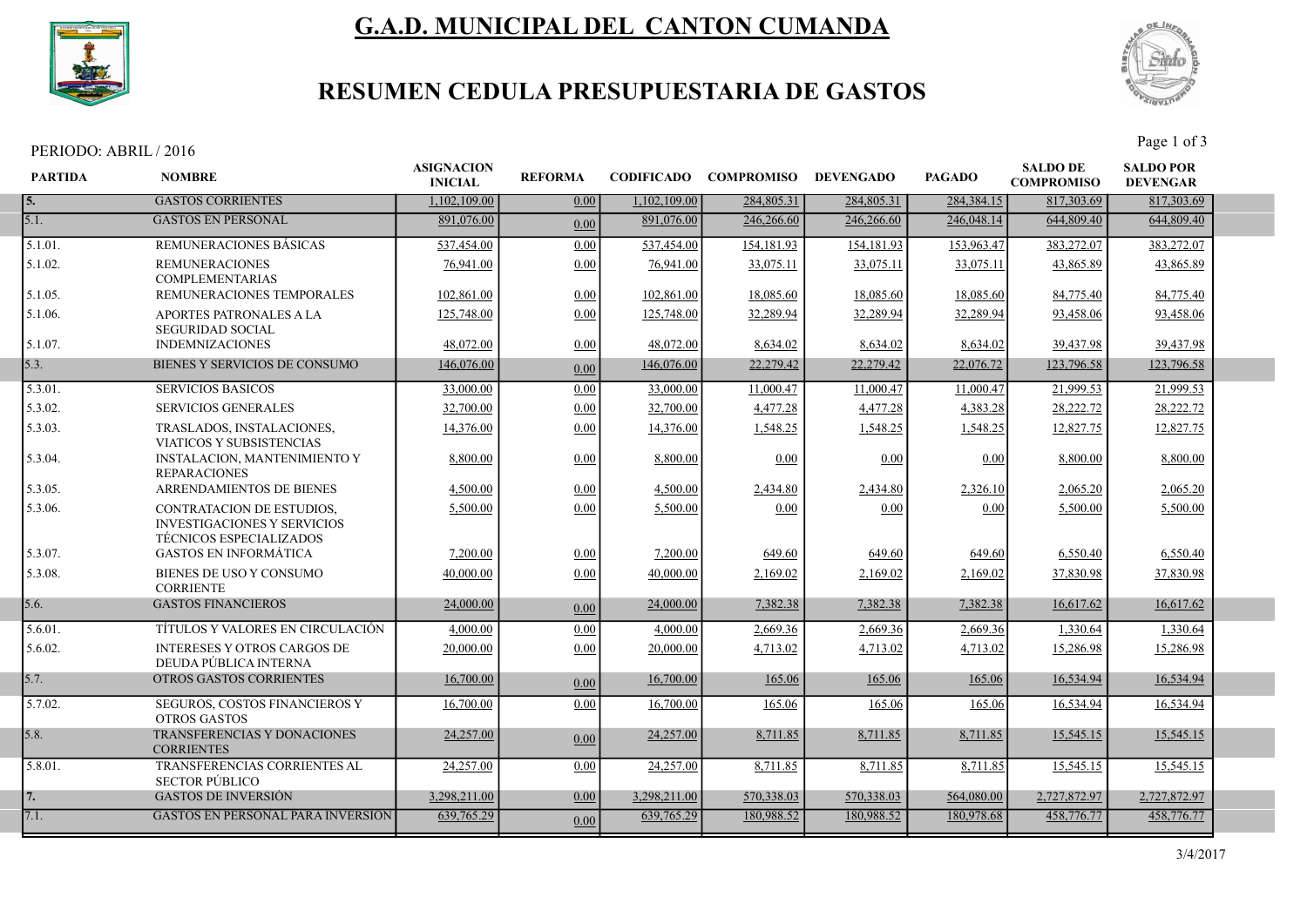

# G.A.D. MUNICIPAL DEL CANTON CUMANDA



## RESUMEN CEDULA PRESUPUESTARIA DE GASTOS

PERIODO: ABRIL / 2016 Page 1 of 3

| <b>PARTIDA</b> | <b>NOMBRE</b>                                                                                     | <b>ASIGNACION</b><br><b>INICIAL</b> | <b>REFORMA</b> |              | CODIFICADO COMPROMISO DEVENGADO |            | <b>PAGADO</b> | <b>SALDO DE</b><br><b>COMPROMISO</b> | <b>SALDO POR</b><br><b>DEVENGAR</b> |  |
|----------------|---------------------------------------------------------------------------------------------------|-------------------------------------|----------------|--------------|---------------------------------|------------|---------------|--------------------------------------|-------------------------------------|--|
| 5.             | <b>GASTOS CORRIENTES</b>                                                                          | 1.102.109.00                        | 0.00           | 1,102,109.00 | 284,805.31                      | 284,805.31 | 284,384.15    | 817,303.69                           | 817,303.69                          |  |
| 5.1.           | <b>GASTOS EN PERSONAL</b>                                                                         | 891,076.00                          | 0.00           | 891,076.00   | 246,266.60                      | 246,266.60 | 246,048.14    | 644,809.40                           | 644,809.40                          |  |
| 5.1.01.        | <b>REMUNERACIONES BASICAS</b>                                                                     | 537,454.00                          | 0.00           | 537,454.00   | 154, 181. 93                    | 154,181.93 | 153,963.47    | 383,272.07                           | 383,272.07                          |  |
| 5.1.02.        | <b>REMUNERACIONES</b><br><b>COMPLEMENTARIAS</b>                                                   | 76,941.00                           | 0.00           | 76,941.00    | 33,075.11                       | 33,075.11  | 33,075.11     | 43,865.89                            | 43,865.89                           |  |
| 5.1.05.        | REMUNERACIONES TEMPORALES                                                                         | 102,861.00                          | 0.00           | 102,861.00   | 18,085.60                       | 18,085.60  | 18,085.60     | 84,775.40                            | 84,775.40                           |  |
| 5.1.06.        | APORTES PATRONALES A LA<br><b>SEGURIDAD SOCIAL</b>                                                | 125,748.00                          | 0.00           | 125,748.00   | 32,289.94                       | 32,289.94  | 32,289.94     | 93,458.06                            | 93,458.06                           |  |
| 5.1.07.        | <b>INDEMNIZACIONES</b>                                                                            | 48,072.00                           | 0.00           | 48,072.00    | 8,634.02                        | 8,634.02   | 8,634.02      | 39,437.98                            | 39,437.98                           |  |
| 5.3.           | BIENES Y SERVICIOS DE CONSUMO                                                                     | 146,076.00                          | 0.00           | 146,076.00   | 22,279.42                       | 22,279.42  | 22,076.72     | 123,796.58                           | 123,796.58                          |  |
| 5.3.01.        | <b>SERVICIOS BASICOS</b>                                                                          | 33,000.00                           | 0.00           | 33,000.00    | 11,000.47                       | 11,000.47  | 11,000.47     | 21,999.53                            | 21,999.53                           |  |
| 5.3.02.        | <b>SERVICIOS GENERALES</b>                                                                        | 32,700.00                           | 0.00           | 32,700.00    | 4,477.28                        | 4,477.28   | 4,383.28      | 28,222.72                            | 28,222.72                           |  |
| 5.3.03.        | TRASLADOS, INSTALACIONES,<br>VIATICOS Y SUBSISTENCIAS                                             | 14,376.00                           | 0.00           | 14,376.00    | 1,548.25                        | 1,548.25   | 1,548.25      | 12,827.75                            | 12,827.75                           |  |
| 5.3.04.        | <b>INSTALACION, MANTENIMIENTO Y</b><br><b>REPARACIONES</b>                                        | 8,800.00                            | 0.00           | 8,800.00     | 0.00                            | 0.00       | 0.00          | 8,800.00                             | 8,800.00                            |  |
| 5.3.05.        | ARRENDAMIENTOS DE BIENES                                                                          | 4.500.00                            | 0.00           | 4,500.00     | 2,434.80                        | 2,434.80   | 2,326.10      | 2,065.20                             | 2,065.20                            |  |
| 5.3.06.        | <b>CONTRATACION DE ESTUDIOS.</b><br><b>INVESTIGACIONES Y SERVICIOS</b><br>TÉCNICOS ESPECIALIZADOS | 5,500.00                            | 0.00           | 5,500.00     | 0.00                            | 0.00       | 0.00          | 5,500.00                             | 5,500.00                            |  |
| 5.3.07.        | <b>GASTOS EN INFORMATICA</b>                                                                      | 7,200.00                            | 0.00           | 7,200.00     | 649.60                          | 649.60     | 649.60        | 6,550.40                             | 6,550.40                            |  |
| 5.3.08.        | BIENES DE USO Y CONSUMO<br><b>CORRIENTE</b>                                                       | 40,000.00                           | 0.00           | 40,000.00    | 2,169.02                        | 2,169.02   | 2,169.02      | 37,830.98                            | 37,830.98                           |  |
| 5.6.           | <b>GASTOS FINANCIEROS</b>                                                                         | 24,000.00                           | 0.00           | 24,000.00    | 7,382.38                        | 7,382.38   | 7,382.38      | 16,617.62                            | 16,617.62                           |  |
| 5.6.01.        | TÍTULOS Y VALORES EN CIRCULACIÓN                                                                  | 4,000.00                            | 0.00           | 4,000.00     | 2,669.36                        | 2,669.36   | 2,669.36      | 1,330.64                             | 1,330.64                            |  |
| 5.6.02.        | <b>INTERESES Y OTROS CARGOS DE</b><br>DEUDA PÚBLICA INTERNA                                       | 20,000.00                           | 0.00           | 20,000.00    | 4.713.02                        | 4,713.02   | 4.713.02      | 15,286.98                            | 15,286.98                           |  |
| 5.7.           | OTROS GASTOS CORRIENTES                                                                           | 16,700.00                           | 0.00           | 16,700.00    | 165.06                          | 165.06     | 165.06        | 16,534.94                            | 16,534.94                           |  |
| 5.7.02.        | SEGUROS, COSTOS FINANCIEROS Y<br><b>OTROS GASTOS</b>                                              | 16,700.00                           | 0.00           | 16,700.00    | 165.06                          | 165.06     | 165.06        | 16,534.94                            | 16,534.94                           |  |
| 5.8.           | TRANSFERENCIAS Y DONACIONES<br><b>CORRIENTES</b>                                                  | 24,257.00                           | 0.00           | 24,257.00    | 8,711.85                        | 8,711.85   | 8,711.85      | 15,545.15                            | 15,545.15                           |  |
| 5.8.01.        | TRANSFERENCIAS CORRIENTES AL<br><b>SECTOR PÚBLICO</b>                                             | 24,257.00                           | 0.00           | 24,257.00    | 8,711.85                        | 8,711.85   | 8,711.85      | 15,545.15                            | 15,545.15                           |  |
| 7.             | <b>GASTOS DE INVERSIÓN</b>                                                                        | 3.298.211.00                        | 0.00           | 3,298,211.00 | 570,338.03                      | 570,338.03 | 564,080.00    | 2,727,872.97                         | 2,727,872.97                        |  |
| 7.1.           | <b>GASTOS EN PERSONAL PARA INVERSIÓN</b>                                                          | 639,765.29                          | 0.00           | 639,765.29   | 180.988.52                      | 180,988.52 | 180,978.68    | 458,776.77                           | 458,776.77                          |  |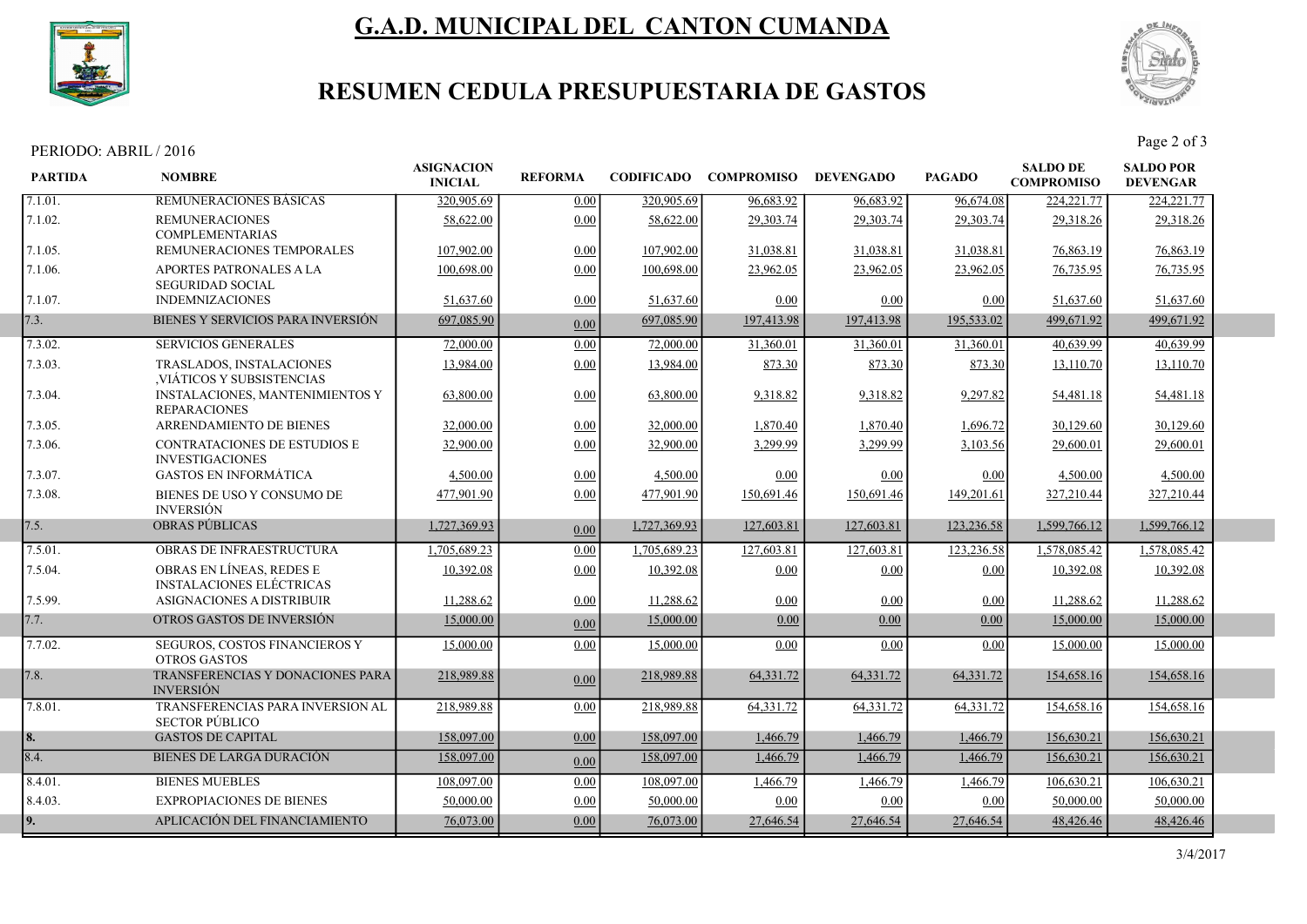

# G.A.D. MUNICIPAL DEL CANTON CUMANDA



## RESUMEN CEDULA PRESUPUESTARIA DE GASTOS

PERIODO: ABRIL / 2016 Page 2 of 3

| <b>PARTIDA</b> | <b>NOMBRE</b>                                                 | <b>ASIGNACION</b><br><b>INICIAL</b> | <b>REFORMA</b> | <b>CODIFICADO</b> | <b>COMPROMISO</b> | <b>DEVENGADO</b> | <b>PAGADO</b> | <b>SALDO DE</b><br><b>COMPROMISO</b> | <b>SALDO POR</b><br><b>DEVENGAR</b> |  |
|----------------|---------------------------------------------------------------|-------------------------------------|----------------|-------------------|-------------------|------------------|---------------|--------------------------------------|-------------------------------------|--|
| 7.1.01.        | <b>REMUNERACIONES BASICAS</b>                                 | 320,905.69                          | 0.00           | 320,905.69        | 96,683.92         | 96.683.92        | 96,674.08     | 224, 221. 77                         | 224, 221. 77                        |  |
| 7.1.02.        | <b>REMUNERACIONES</b><br><b>COMPLEMENTARIAS</b>               | 58,622.00                           | 0.00           | 58,622.00         | 29,303.74         | 29,303.74        | 29.303.74     | 29,318.26                            | 29,318.26                           |  |
| 7.1.05.        | REMUNERACIONES TEMPORALES                                     | 107,902.00                          | 0.00           | 107,902.00        | 31,038.81         | 31,038.81        | 31,038.81     | 76,863.19                            | 76,863.19                           |  |
| 7.1.06.        | APORTES PATRONALES A LA<br><b>SEGURIDAD SOCIAL</b>            | 100,698.00                          | 0.00           | 100,698.00        | 23,962.05         | 23,962.05        | 23,962.05     | 76,735.95                            | 76,735.95                           |  |
| 7.1.07.        | <b>INDEMNIZACIONES</b>                                        | 51,637.60                           | 0.00           | 51,637.60         | 0.00              | 0.00             | 0.00          | 51,637.60                            | 51,637.60                           |  |
| 7.3.           | BIENES Y SERVICIOS PARA INVERSIÓN                             | 697,085.90                          | 0.00           | 697,085.90        | 197,413.98        | 197,413.98       | 195,533.02    | 499,671.92                           | 499,671.92                          |  |
| 7.3.02.        | <b>SERVICIOS GENERALES</b>                                    | 72,000.00                           | 0.00           | 72,000.00         | 31,360.01         | 31,360.01        | 31,360.01     | 40.639.99                            | 40.639.99                           |  |
| 7.3.03.        | <b>TRASLADOS, INSTALACIONES</b><br>VIÁTICOS Y SUBSISTENCIAS   | 13,984.00                           | 0.00           | 13,984.00         | 873.30            | 873.30           | 873.30        | 13,110.70                            | 13,110.70                           |  |
| 7.3.04.        | <b>INSTALACIONES, MANTENIMIENTOS Y</b><br><b>REPARACIONES</b> | 63,800.00                           | 0.00           | 63,800.00         | 9,318.82          | 9,318.82         | 9.297.82      | 54,481.18                            | 54,481.18                           |  |
| 7.3.05.        | ARRENDAMIENTO DE BIENES                                       | 32,000.00                           | 0.00           | 32,000.00         | 1,870.40          | 1,870.40         | 1.696.72      | 30.129.60                            | 30.129.60                           |  |
| 7.3.06.        | CONTRATACIONES DE ESTUDIOS E<br><b>INVESTIGACIONES</b>        | 32,900.00                           | 0.00           | 32,900.00         | 3,299.99          | 3,299.99         | 3,103.56      | 29,600.01                            | 29,600.01                           |  |
| 7.3.07.        | <b>GASTOS EN INFORMÁTICA</b>                                  | 4,500.00                            | 0.00           | 4,500.00          | 0.00              | 0.00             | 0.00          | 4,500.00                             | 4,500.00                            |  |
| 7.3.08.        | BIENES DE USO Y CONSUMO DE<br><b>INVERSIÓN</b>                | 477,901.90                          | 0.00           | 477,901.90        | 150,691.46        | 150,691.46       | 149,201.61    | 327,210.44                           | 327,210.44                          |  |
| 7.5.           | <b>OBRAS PÚBLICAS</b>                                         | 1,727,369.93                        | 0.00           | 1,727,369.93      | 127,603.81        | 127,603.81       | 123,236.58    | 1,599,766.12                         | 1,599,766.12                        |  |
| 7.5.01.        | <b>OBRAS DE INFRAESTRUCTURA</b>                               | 1.705.689.23                        | 0.00           | 1,705,689.23      | 127,603.81        | 127,603.81       | 123,236.58    | 1,578,085.42                         | 1.578,085.42                        |  |
| 7.5.04.        | OBRAS EN LÍNEAS, REDES E<br><b>INSTALACIONES ELÉCTRICAS</b>   | 10.392.08                           | 0.00           | 10.392.08         | 0.00              | 0.00             | 0.00          | 10.392.08                            | 10.392.08                           |  |
| 7.5.99.        | <b>ASIGNACIONES A DISTRIBUIR</b>                              | 11,288.62                           | 0.00           | 11,288.62         | 0.00              | 0.00             | 0.00          | 11,288.62                            | 11,288.62                           |  |
| 7.7.           | OTROS GASTOS DE INVERSIÓN                                     | 15,000.00                           | 0.00           | 15,000.00         | 0.00              | 0.00             | 0.00          | 15,000.00                            | 15,000.00                           |  |
| 7.7.02.        | SEGUROS, COSTOS FINANCIEROS Y<br><b>OTROS GASTOS</b>          | 15,000.00                           | 0.00           | 15,000.00         | 0.00              | 0.00             | 0.00          | 15,000.00                            | 15,000.00                           |  |
| 7.8.           | TRANSFERENCIAS Y DONACIONES PARA<br><b>INVERSIÓN</b>          | 218,989.88                          | 0.00           | 218,989.88        | 64,331.72         | 64,331.72        | 64, 331. 72   | 154,658.16                           | 154,658.16                          |  |
| 7.8.01.        | TRANSFERENCIAS PARA INVERSION AL<br><b>SECTOR PÚBLICO</b>     | 218,989.88                          | 0.00           | 218,989.88        | 64,331.72         | 64,331.72        | 64,331.72     | 154,658.16                           | 154,658.16                          |  |
| 8.             | <b>GASTOS DE CAPITAL</b>                                      | 158,097.00                          | 0.00           | 158,097.00        | 1,466.79          | 1.466.79         | 1.466.79      | 156,630.21                           | 156,630.21                          |  |
| 8.4.           | <b>BIENES DE LARGA DURACIÓN</b>                               | 158,097.00                          | 0.00           | 158,097.00        | 1,466.79          | 1,466.79         | 1,466.79      | 156,630.21                           | 156,630.21                          |  |
| 8.4.01.        | <b>BIENES MUEBLES</b>                                         | 108,097.00                          | 0.00           | 108,097.00        | 1,466.79          | 1,466.79         | 1,466.79      | 106,630.21                           | 106,630.21                          |  |
| 8.4.03.        | <b>EXPROPIACIONES DE BIENES</b>                               | 50,000.00                           | 0.00           | 50,000.00         | 0.00              | 0.00             | 0.00          | 50,000.00                            | 50,000.00                           |  |
| 19.            | APLICACIÓN DEL FINANCIAMIENTO                                 | 76,073.00                           | 0.00           | 76,073.00         | 27,646.54         | 27,646.54        | 27,646.54     | 48,426.46                            | 48,426.46                           |  |